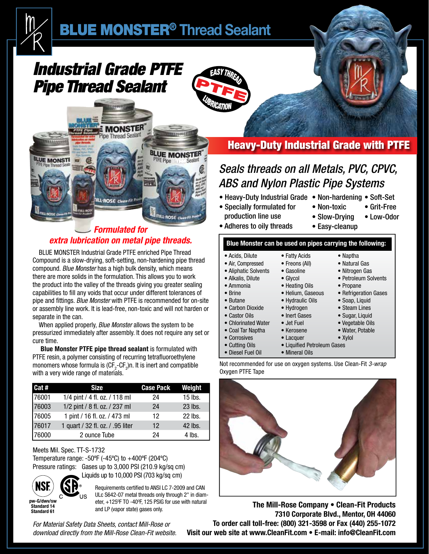

# *Industrial Grade PTFE Pipe Thread Sealant*

**Lissword** 





## *Formulated for extra lubrication on metal pipe threads.*

BLUE MONSTER Industrial Grade PTFE enriched Pipe Thread Compound is a slow-drying, soft-setting, non-hardening pipe thread compound. *Blue Monster* has a high bulk density, which means there are more solids in the formulation. This allows you to work the product into the valley of the threads giving you greater sealing capabilities to fill any voids that occur under different tolerances of pipe and fittings. *Blue Monster* with PTFE is recommended for on-site or assembly line work. It is lead-free, non-toxic and will not harden or separate in the can.

When applied properly, *Blue Monster* allows the system to be pressurized immediately after assembly. It does not require any set or cure time.

 **Blue Monster PTFE pipe thread sealant** is formulated with PTFE resin, a polymer consisting of recurring tetrafluoroethylene monomers whose formula is (CF<sub>2</sub>-CF<sub>2</sub>)n. It is inert and compatible with a very wide range of materials.

| I Cat # | <b>Size</b>                      | <b>Case Pack</b>  | Weight    |
|---------|----------------------------------|-------------------|-----------|
| 76001   | 1/4 pint / 4 fl. oz. / 118 ml    | 24                | $15$ lbs. |
| 76003   | 1/2 pint / 8 fl. oz. / 237 ml    | 24                | 23 lbs.   |
| 76005   | 1 pint / 16 fl. oz. / 473 ml     | 12                | 22 lbs.   |
| 76017   | 1 quart / 32 fl. oz. / .95 liter | $12 \overline{ }$ | 42 lbs.   |
| 76000   | 2 ounce Tube                     | 24                | 4 lbs.    |

#### Meets Mil. Spec. TT-S-1732

Temperature range: -50ºF (-45ºC) to +400ºF (204ºC) Pressure ratings: Gases up to 3,000 PSI (210.9 kg/sq cm)

Liquids up to 10,000 PSI (703 kg/sq cm)



**Standard 61**

Requirements certified to ANSI LC 7-2009 and CAN ULc S642-07 metal threads only through 2" in diameter, +125<sup>o</sup>F TO -40<sup>o</sup>F, 125 PSIG for use with natural and LP (vapor state) gases only.

*For Material Safety Data Sheets, contact Mill-Rose or download directly from the Mill-Rose Clean-Fit website.*

## Heavy-Duty Industrial Grade with PTFE

## *Seals threads on all Metals, PVC, CPVC, ABS and Nylon Plastic Pipe Systems*

- Heavy-Duty Industrial Grade Non-hardening Soft-Set
- Specially formulated for production line use
- Non-toxic • Grit-Free • Low-Odor

• Naptha • Natural Gas • Nitrogen Gas • Petroleum Solvents

• Propane

- Slow-Drying • Easy-cleanup
- Adheres to oily threads

#### **Blue Monster can be used on pipes carrying the following:**

• Fatty Acids • Freons (All) • Gasoline • Glycol • Heating Oils • Helium, Gaseous

• Hydrogen • Inert Gases • Jet Fuel • Kerosene

- Acids, Dilute
- Air, Compressed
- Aliphatic Solvents
- Alkalis, Dilute

• Ammonia

- Brine
- Butane
	- Carbon Dioxide
	- Castor Oils
	- Chlorinated Water
	- Coal Tar Naptha
	- Corrosives
	- Cutting Oils
	- Diesel Fuel Oil
		-
- Hydraulic Oils • Soap, Liquid • Steam Lines • Sugar, Liquid
	- Vegetable Oils
		- Water, Potable

• Refrigeration Gases

- Xylol
- Lacquer • Liquified Petroleum Gases
- Mineral Oils
- Not recommended for use on oxygen systems. Use Clean-Fit *3-wrap* Oxygen PTFE Tape



**The Mill-Rose Company • Clean-Fit Products 7310 Corporate Blvd., Mentor, OH 44060 To order call toll-free: (800) 321-3598 or Fax (440) 255-1072 Visit our web site at www.CleanFit.com • E-mail: info@CleanFit.com**